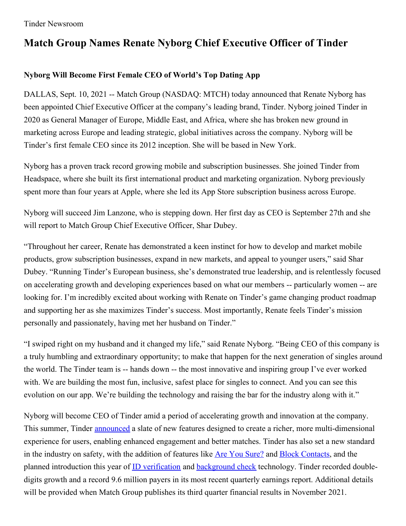# **Match Group Names Renate Nyborg Chief Executive Officer of Tinder**

## **Nyborg Will Become First Female CEO of World's Top Dating App**

DALLAS, Sept. 10, 2021 -- Match Group (NASDAQ: MTCH) today announced that Renate Nyborg has been appointed Chief Executive Officer at the company's leading brand, Tinder. Nyborg joined Tinder in 2020 as General Manager of Europe, Middle East, and Africa, where she has broken new ground in marketing across Europe and leading strategic, global initiatives across the company. Nyborg will be Tinder's first female CEO since its 2012 inception. She will be based in New York.

Nyborg has a proven track record growing mobile and subscription businesses. She joined Tinder from Headspace, where she built its first international product and marketing organization. Nyborg previously spent more than four years at Apple, where she led its App Store subscription business across Europe.

Nyborg will succeed Jim Lanzone, who is stepping down. Her first day as CEO is September 27th and she will report to Match Group Chief Executive Officer, Shar Dubey.

"Throughout her career, Renate has demonstrated a keen instinct for how to develop and market mobile products, grow subscription businesses, expand in new markets, and appeal to younger users," said Shar Dubey. "Running Tinder's European business, she's demonstrated true leadership, and is relentlessly focused on accelerating growth and developing experiences based on what our members -- particularly women -- are looking for. I'm incredibly excited about working with Renate on Tinder's game changing product roadmap and supporting her as she maximizes Tinder's success. Most importantly, Renate feels Tinder's mission personally and passionately, having met her husband on Tinder."

"I swiped right on my husband and it changed my life," said Renate Nyborg. "Being CEO of this company is a truly humbling and extraordinary opportunity; to make that happen for the next generation of singles around the world. The Tinder team is -- hands down -- the most innovative and inspiring group I've ever worked with. We are building the most fun, inclusive, safest place for singles to connect. And you can see this evolution on our app. We're building the technology and raising the bar for the industry along with it."

Nyborg will become CEO of Tinder amid a period of accelerating growth and innovation at the company. This summer, Tinder [announced](https://www.tinderpressroom.com/2021-06-22-Tinder-Expands-Into-Video-and-Social-Experiences) a slate of new features designed to create a richer, more multi-dimensional experience for users, enabling enhanced engagement and better matches. Tinder has also set a new standard in the industry on safety, with the addition of features like Are You [Sure?](https://www.tinderpressroom.com/2021-05-20-Tinder-Introduces-Are-You-Sure-,-an-Industry-First-Feature-That-is-Stopping-Harassment-Before-It-Starts) and Block [Contacts](https://www.tinderpressroom.com/2021-06-04-Tinder-Gives-Members-More-Control-With-New-Feature-Allowing-You-to-Block-Your-Ex), and the planned introduction this year of **ID** [verification](https://www.tinderpressroom.com/2021-08-16-Tinder-Commits-to-ID-Verification-for-Members-Globally,-a-First-in-the-Dating-Category) and **[background](https://www.tinderpressroom.com/news?item=122491) check** technology. Tinder recorded doubledigits growth and a record 9.6 million payers in its most recent quarterly earnings report. Additional details will be provided when Match Group publishes its third quarter financial results in November 2021.